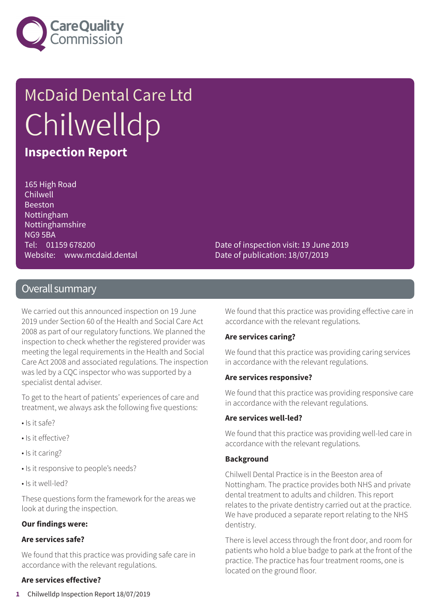

# McDaid Dental Care Ltd **Chilwelldp**

### **Inspection Report**

165 High Road Chilwell Beeston Nottingham Nottinghamshire NG9 5BA Tel: 01159 678200 Website: www.mcdaid.dental

Date of inspection visit: 19 June 2019 Date of publication: 18/07/2019

### Overall summary

We carried out this announced inspection on 19 June 2019 under Section 60 of the Health and Social Care Act 2008 as part of our regulatory functions. We planned the inspection to check whether the registered provider was meeting the legal requirements in the Health and Social Care Act 2008 and associated regulations. The inspection was led by a CQC inspector who was supported by a specialist dental adviser.

To get to the heart of patients' experiences of care and treatment, we always ask the following five questions:

- Is it safe?
- Is it effective?
- Is it caring?
- Is it responsive to people's needs?
- Is it well-led?

These questions form the framework for the areas we look at during the inspection.

#### **Our findings were:**

#### **Are services safe?**

We found that this practice was providing safe care in accordance with the relevant regulations.

#### **Are services effective?**

We found that this practice was providing effective care in accordance with the relevant regulations.

#### **Are services caring?**

We found that this practice was providing caring services in accordance with the relevant regulations.

#### **Are services responsive?**

We found that this practice was providing responsive care in accordance with the relevant regulations.

#### **Are services well-led?**

We found that this practice was providing well-led care in accordance with the relevant regulations.

#### **Background**

Chilwell Dental Practice is in the Beeston area of Nottingham. The practice provides both NHS and private dental treatment to adults and children. This report relates to the private dentistry carried out at the practice. We have produced a separate report relating to the NHS dentistry.

There is level access through the front door, and room for patients who hold a blue badge to park at the front of the practice. The practice has four treatment rooms, one is located on the ground floor.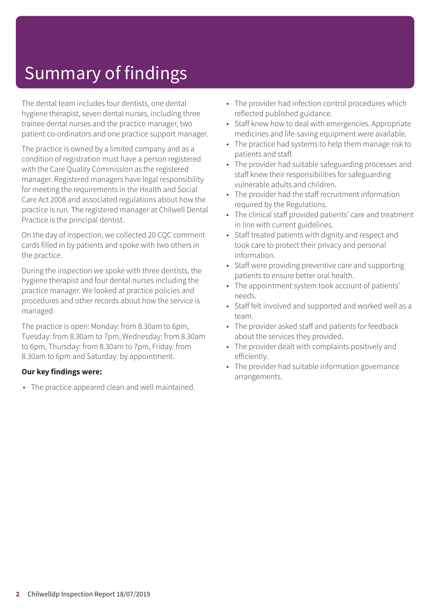## Summary of findings

The dental team includes four dentists, one dental hygiene therapist, seven dental nurses, including three trainee dental nurses and the practice manager, two patient co-ordinators and one practice support manager.

The practice is owned by a limited company and as a condition of registration must have a person registered with the Care Quality Commission as the registered manager. Registered managers have legal responsibility for meeting the requirements in the Health and Social Care Act 2008 and associated regulations about how the practice is run. The registered manager at Chilwell Dental Practice is the principal dentist.

On the day of inspection, we collected 20 CQC comment cards filled in by patients and spoke with two others in the practice.

During the inspection we spoke with three dentists, the hygiene therapist and four dental nurses including the practice manager. We looked at practice policies and procedures and other records about how the service is managed.

The practice is open: Monday: from 8.30am to 6pm, Tuesday: from 8.30am to 7pm, Wednesday: from 8.30am to 6pm, Thursday: from 8.30am to 7pm, Friday: from 8.30am to 6pm and Saturday: by appointment.

#### **Our key findings were:**

• The practice appeared clean and well maintained.

- The provider had infection control procedures which reflected published guidance.
- Staff knew how to deal with emergencies. Appropriate medicines and life-saving equipment were available.
- The practice had systems to help them manage risk to patients and staff.
- The provider had suitable safeguarding processes and staff knew their responsibilities for safeguarding vulnerable adults and children.
- The provider had the staff recruitment information required by the Regulations.
- The clinical staff provided patients' care and treatment in line with current guidelines.
- Staff treated patients with dignity and respect and took care to protect their privacy and personal information.
- Staff were providing preventive care and supporting patients to ensure better oral health.
- The appointment system took account of patients' needs.
- Staff felt involved and supported and worked well as a team.
- The provider asked staff and patients for feedback about the services they provided.
- The provider dealt with complaints positively and efficiently.
- The provider had suitable information governance arrangements.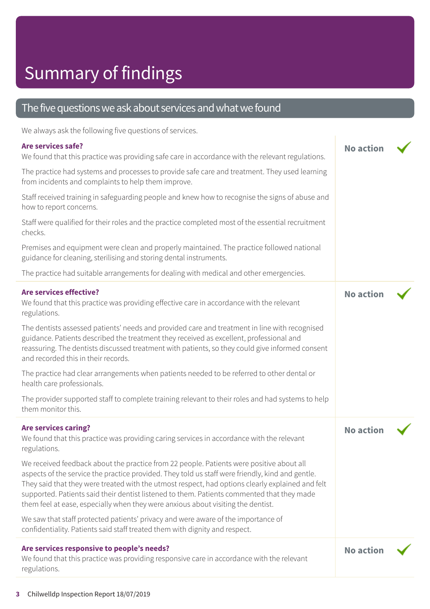### The five questions we ask about services and what we found

We always ask the following five questions of services.

### **Are services safe?**

| Are services safe?<br>We found that this practice was providing safe care in accordance with the relevant regulations.                                                                                                                                                                                                                                                                                                                                                             | <b>No action</b> |  |
|------------------------------------------------------------------------------------------------------------------------------------------------------------------------------------------------------------------------------------------------------------------------------------------------------------------------------------------------------------------------------------------------------------------------------------------------------------------------------------|------------------|--|
| The practice had systems and processes to provide safe care and treatment. They used learning<br>from incidents and complaints to help them improve.                                                                                                                                                                                                                                                                                                                               |                  |  |
| Staff received training in safeguarding people and knew how to recognise the signs of abuse and<br>how to report concerns.                                                                                                                                                                                                                                                                                                                                                         |                  |  |
| Staff were qualified for their roles and the practice completed most of the essential recruitment<br>checks.                                                                                                                                                                                                                                                                                                                                                                       |                  |  |
| Premises and equipment were clean and properly maintained. The practice followed national<br>guidance for cleaning, sterilising and storing dental instruments.                                                                                                                                                                                                                                                                                                                    |                  |  |
| The practice had suitable arrangements for dealing with medical and other emergencies.                                                                                                                                                                                                                                                                                                                                                                                             |                  |  |
| <b>Are services effective?</b><br>We found that this practice was providing effective care in accordance with the relevant<br>regulations.                                                                                                                                                                                                                                                                                                                                         | <b>No action</b> |  |
| The dentists assessed patients' needs and provided care and treatment in line with recognised<br>guidance. Patients described the treatment they received as excellent, professional and<br>reassuring. The dentists discussed treatment with patients, so they could give informed consent<br>and recorded this in their records.                                                                                                                                                 |                  |  |
| The practice had clear arrangements when patients needed to be referred to other dental or<br>health care professionals.                                                                                                                                                                                                                                                                                                                                                           |                  |  |
| The provider supported staff to complete training relevant to their roles and had systems to help<br>them monitor this.                                                                                                                                                                                                                                                                                                                                                            |                  |  |
| <b>Are services caring?</b><br>We found that this practice was providing caring services in accordance with the relevant<br>regulations.                                                                                                                                                                                                                                                                                                                                           | <b>No action</b> |  |
| We received feedback about the practice from 22 people. Patients were positive about all<br>aspects of the service the practice provided. They told us staff were friendly, kind and gentle.<br>They said that they were treated with the utmost respect, had options clearly explained and felt<br>supported. Patients said their dentist listened to them. Patients commented that they made<br>them feel at ease, especially when they were anxious about visiting the dentist. |                  |  |
| We saw that staff protected patients' privacy and were aware of the importance of<br>confidentiality. Patients said staff treated them with dignity and respect.                                                                                                                                                                                                                                                                                                                   |                  |  |
| Are services responsive to people's needs?<br>We found that this practice was providing responsive care in accordance with the relevant<br>regulations.                                                                                                                                                                                                                                                                                                                            | <b>No action</b> |  |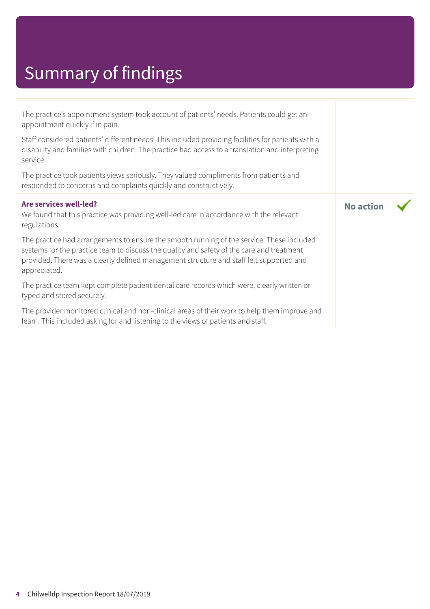## Summary of findings

| The practice's appointment system took account of patients' needs. Patients could get an<br>appointment quickly if in pain.                                                                                                                                                                       |                  |  |
|---------------------------------------------------------------------------------------------------------------------------------------------------------------------------------------------------------------------------------------------------------------------------------------------------|------------------|--|
| Staff considered patients' different needs. This included providing facilities for patients with a<br>disability and families with children. The practice had access to a translation and interpreting<br>service.                                                                                |                  |  |
| The practice took patients views seriously. They valued compliments from patients and<br>responded to concerns and complaints quickly and constructively.                                                                                                                                         |                  |  |
| Are services well-led?<br>We found that this practice was providing well-led care in accordance with the relevant<br>regulations.                                                                                                                                                                 | <b>No action</b> |  |
| The practice had arrangements to ensure the smooth running of the service. These included<br>systems for the practice team to discuss the quality and safety of the care and treatment<br>provided. There was a clearly defined management structure and staff felt supported and<br>appreciated. |                  |  |
| The practice team kept complete patient dental care records which were, clearly written or<br>typed and stored securely.                                                                                                                                                                          |                  |  |
| The provider monitored clinical and non-clinical areas of their work to help them improve and<br>learn. This included asking for and listening to the views of patients and staff.                                                                                                                |                  |  |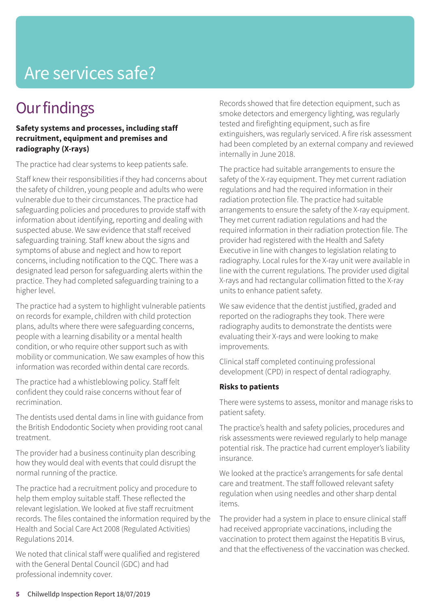### Are services safe?

### **Our findings**

#### **Safety systems and processes, including staff recruitment, equipment and premises and radiography (X-rays)**

The practice had clear systems to keep patients safe.

Staff knew their responsibilities if they had concerns about the safety of children, young people and adults who were vulnerable due to their circumstances. The practice had safeguarding policies and procedures to provide staff with information about identifying, reporting and dealing with suspected abuse. We saw evidence that staff received safeguarding training. Staff knew about the signs and symptoms of abuse and neglect and how to report concerns, including notification to the CQC. There was a designated lead person for safeguarding alerts within the practice. They had completed safeguarding training to a higher level.

The practice had a system to highlight vulnerable patients on records for example, children with child protection plans, adults where there were safeguarding concerns, people with a learning disability or a mental health condition, or who require other support such as with mobility or communication. We saw examples of how this information was recorded within dental care records.

The practice had a whistleblowing policy. Staff felt confident they could raise concerns without fear of recrimination.

The dentists used dental dams in line with guidance from the British Endodontic Society when providing root canal treatment.

The provider had a business continuity plan describing how they would deal with events that could disrupt the normal running of the practice.

The practice had a recruitment policy and procedure to help them employ suitable staff. These reflected the relevant legislation. We looked at five staff recruitment records. The files contained the information required by the Health and Social Care Act 2008 (Regulated Activities) Regulations 2014.

We noted that clinical staff were qualified and registered with the General Dental Council (GDC) and had professional indemnity cover.

Records showed that fire detection equipment, such as smoke detectors and emergency lighting, was regularly tested and firefighting equipment, such as fire extinguishers, was regularly serviced. A fire risk assessment had been completed by an external company and reviewed internally in June 2018.

The practice had suitable arrangements to ensure the safety of the X-ray equipment. They met current radiation regulations and had the required information in their radiation protection file. The practice had suitable arrangements to ensure the safety of the X-ray equipment. They met current radiation regulations and had the required information in their radiation protection file. The provider had registered with the Health and Safety Executive in line with changes to legislation relating to radiography. Local rules for the X-ray unit were available in line with the current regulations. The provider used digital X-rays and had rectangular collimation fitted to the X-ray units to enhance patient safety.

We saw evidence that the dentist justified, graded and reported on the radiographs they took. There were radiography audits to demonstrate the dentists were evaluating their X-rays and were looking to make improvements.

Clinical staff completed continuing professional development (CPD) in respect of dental radiography.

#### **Risks to patients**

There were systems to assess, monitor and manage risks to patient safety.

The practice's health and safety policies, procedures and risk assessments were reviewed regularly to help manage potential risk. The practice had current employer's liability insurance.

We looked at the practice's arrangements for safe dental care and treatment. The staff followed relevant safety regulation when using needles and other sharp dental items.

The provider had a system in place to ensure clinical staff had received appropriate vaccinations, including the vaccination to protect them against the Hepatitis B virus, and that the effectiveness of the vaccination was checked.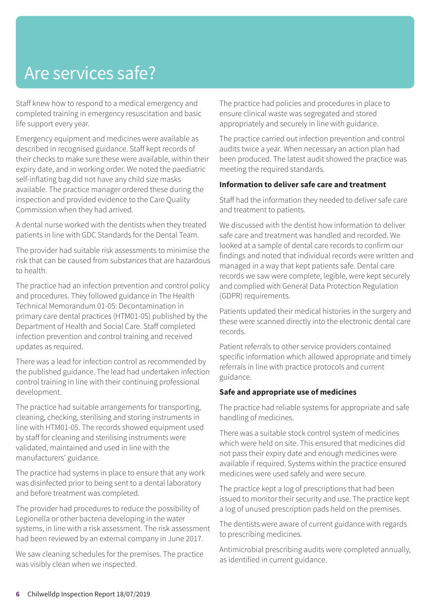### Are services safe?

Staff knew how to respond to a medical emergency and completed training in emergency resuscitation and basic life support every year.

Emergency equipment and medicines were available as described in recognised guidance. Staff kept records of their checks to make sure these were available, within their expiry date, and in working order. We noted the paediatric self-inflating bag did not have any child size masks available. The practice manager ordered these during the inspection and provided evidence to the Care Quality Commission when they had arrived.

A dental nurse worked with the dentists when they treated patients in line with GDC Standards for the Dental Team.

The provider had suitable risk assessments to minimise the risk that can be caused from substances that are hazardous to health.

The practice had an infection prevention and control policy and procedures. They followed guidance in The Health Technical Memorandum 01-05: Decontamination in primary care dental practices (HTM01-05) published by the Department of Health and Social Care. Staff completed infection prevention and control training and received updates as required.

There was a lead for infection control as recommended by the published guidance. The lead had undertaken infection control training in line with their continuing professional development.

The practice had suitable arrangements for transporting, cleaning, checking, sterilising and storing instruments in line with HTM01-05. The records showed equipment used by staff for cleaning and sterilising instruments were validated, maintained and used in line with the manufacturers' guidance.

The practice had systems in place to ensure that any work was disinfected prior to being sent to a dental laboratory and before treatment was completed.

The provider had procedures to reduce the possibility of Legionella or other bacteria developing in the water systems, in line with a risk assessment. The risk assessment had been reviewed by an external company in June 2017.

We saw cleaning schedules for the premises. The practice was visibly clean when we inspected.

The practice had policies and procedures in place to ensure clinical waste was segregated and stored appropriately and securely in line with guidance.

The practice carried out infection prevention and control audits twice a year. When necessary an action plan had been produced. The latest audit showed the practice was meeting the required standards.

#### **Information to deliver safe care and treatment**

Staff had the information they needed to deliver safe care and treatment to patients.

We discussed with the dentist how information to deliver safe care and treatment was handled and recorded. We looked at a sample of dental care records to confirm our findings and noted that individual records were written and managed in a way that kept patients safe. Dental care records we saw were complete, legible, were kept securely and complied with General Data Protection Regulation (GDPR) requirements.

Patients updated their medical histories in the surgery and these were scanned directly into the electronic dental care records.

Patient referrals to other service providers contained specific information which allowed appropriate and timely referrals in line with practice protocols and current guidance.

#### **Safe and appropriate use of medicines**

The practice had reliable systems for appropriate and safe handling of medicines.

There was a suitable stock control system of medicines which were held on site. This ensured that medicines did not pass their expiry date and enough medicines were available if required. Systems within the practice ensured medicines were used safely and were secure.

The practice kept a log of prescriptions that had been issued to monitor their security and use. The practice kept a log of unused prescription pads held on the premises.

The dentists were aware of current guidance with regards to prescribing medicines.

Antimicrobial prescribing audits were completed annually, as identified in current guidance.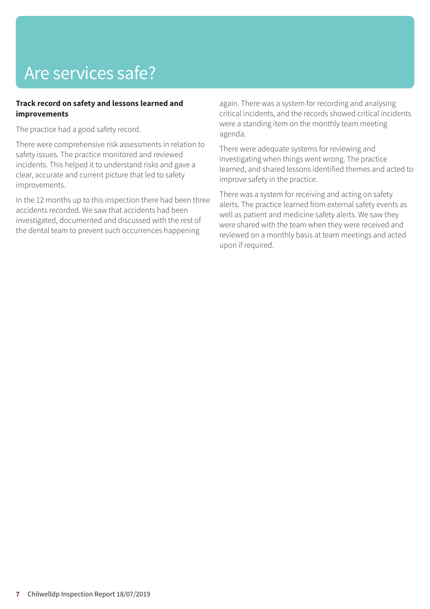## Are services safe?

#### **Track record on safety and lessons learned and improvements**

The practice had a good safety record.

There were comprehensive risk assessments in relation to safety issues. The practice monitored and reviewed incidents. This helped it to understand risks and gave a clear, accurate and current picture that led to safety improvements.

In the 12 months up to this inspection there had been three accidents recorded. We saw that accidents had been investigated, documented and discussed with the rest of the dental team to prevent such occurrences happening

again. There was a system for recording and analysing critical incidents, and the records showed critical incidents were a standing item on the monthly team meeting agenda.

There were adequate systems for reviewing and investigating when things went wrong. The practice learned, and shared lessons identified themes and acted to improve safety in the practice.

There was a system for receiving and acting on safety alerts. The practice learned from external safety events as well as patient and medicine safety alerts. We saw they were shared with the team when they were received and reviewed on a monthly basis at team meetings and acted upon if required.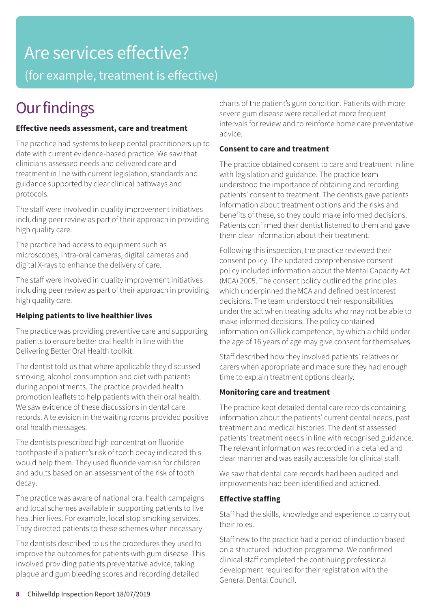## Are services effective?

(for example, treatment is effective)

### **Our findings**

#### **Effective needs assessment, care and treatment**

The practice had systems to keep dental practitioners up to date with current evidence-based practice. We saw that clinicians assessed needs and delivered care and treatment in line with current legislation, standards and guidance supported by clear clinical pathways and protocols.

The staff were involved in quality improvement initiatives including peer review as part of their approach in providing high quality care.

The practice had access to equipment such as microscopes, intra-oral cameras, digital cameras and digital X-rays to enhance the delivery of care.

The staff were involved in quality improvement initiatives including peer review as part of their approach in providing high quality care.

#### **Helping patients to live healthier lives**

The practice was providing preventive care and supporting patients to ensure better oral health in line with the Delivering Better Oral Health toolkit.

The dentist told us that where applicable they discussed smoking, alcohol consumption and diet with patients during appointments. The practice provided health promotion leaflets to help patients with their oral health. We saw evidence of these discussions in dental care records. A television in the waiting rooms provided positive oral health messages.

The dentists prescribed high concentration fluoride toothpaste if a patient's risk of tooth decay indicated this would help them. They used fluoride varnish for children and adults based on an assessment of the risk of tooth decay.

The practice was aware of national oral health campaigns and local schemes available in supporting patients to live healthier lives. For example, local stop smoking services. They directed patients to these schemes when necessary.

The dentists described to us the procedures they used to improve the outcomes for patients with gum disease. This involved providing patients preventative advice, taking plaque and gum bleeding scores and recording detailed

charts of the patient's gum condition. Patients with more severe gum disease were recalled at more frequent intervals for review and to reinforce home care preventative advice.

#### **Consent to care and treatment**

The practice obtained consent to care and treatment in line with legislation and guidance. The practice team understood the importance of obtaining and recording patients' consent to treatment. The dentists gave patients information about treatment options and the risks and benefits of these, so they could make informed decisions. Patients confirmed their dentist listened to them and gave them clear information about their treatment.

Following this inspection, the practice reviewed their consent policy. The updated comprehensive consent policy included information about the Mental Capacity Act (MCA) 2005. The consent policy outlined the principles which underpinned the MCA and defined best interest decisions. The team understood their responsibilities under the act when treating adults who may not be able to make informed decisions. The policy contained information on Gillick competence, by which a child under the age of 16 years of age may give consent for themselves.

Staff described how they involved patients' relatives or carers when appropriate and made sure they had enough time to explain treatment options clearly.

#### **Monitoring care and treatment**

The practice kept detailed dental care records containing information about the patients' current dental needs, past treatment and medical histories. The dentist assessed patients' treatment needs in line with recognised guidance. The relevant information was recorded in a detailed and clear manner and was easily accessible for clinical staff.

We saw that dental care records had been audited and improvements had been identified and actioned.

#### **Effective staffing**

Staff had the skills, knowledge and experience to carry out their roles.

Staff new to the practice had a period of induction based on a structured induction programme. We confirmed clinical staff completed the continuing professional development required for their registration with the General Dental Council.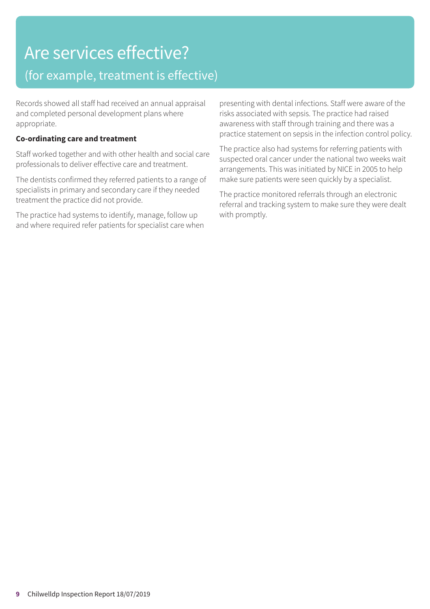# Are services effective?

### (for example, treatment is effective)

Records showed all staff had received an annual appraisal and completed personal development plans where appropriate.

#### **Co-ordinating care and treatment**

Staff worked together and with other health and social care professionals to deliver effective care and treatment.

The dentists confirmed they referred patients to a range of specialists in primary and secondary care if they needed treatment the practice did not provide.

The practice had systems to identify, manage, follow up and where required refer patients for specialist care when presenting with dental infections. Staff were aware of the risks associated with sepsis. The practice had raised awareness with staff through training and there was a practice statement on sepsis in the infection control policy.

The practice also had systems for referring patients with suspected oral cancer under the national two weeks wait arrangements. This was initiated by NICE in 2005 to help make sure patients were seen quickly by a specialist.

The practice monitored referrals through an electronic referral and tracking system to make sure they were dealt with promptly.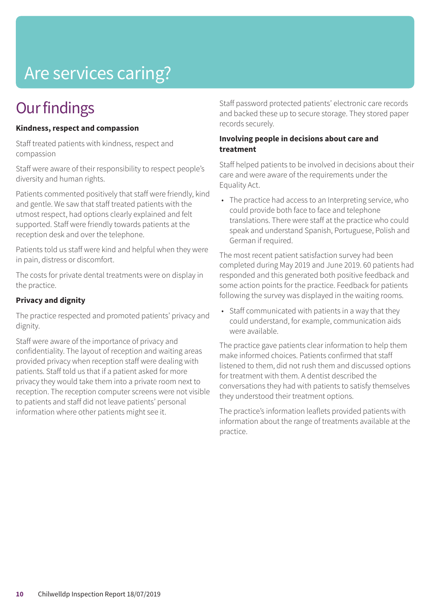## Are services caring?

### **Our findings**

#### **Kindness, respect and compassion**

Staff treated patients with kindness, respect and compassion

Staff were aware of their responsibility to respect people's diversity and human rights.

Patients commented positively that staff were friendly, kind and gentle. We saw that staff treated patients with the utmost respect, had options clearly explained and felt supported. Staff were friendly towards patients at the reception desk and over the telephone.

Patients told us staff were kind and helpful when they were in pain, distress or discomfort.

The costs for private dental treatments were on display in the practice.

#### **Privacy and dignity**

The practice respected and promoted patients' privacy and dignity.

Staff were aware of the importance of privacy and confidentiality. The layout of reception and waiting areas provided privacy when reception staff were dealing with patients. Staff told us that if a patient asked for more privacy they would take them into a private room next to reception. The reception computer screens were not visible to patients and staff did not leave patients' personal information where other patients might see it.

Staff password protected patients' electronic care records and backed these up to secure storage. They stored paper records securely.

#### **Involving people in decisions about care and treatment**

Staff helped patients to be involved in decisions about their care and were aware of the requirements under the Equality Act.

• The practice had access to an Interpreting service, who could provide both face to face and telephone translations. There were staff at the practice who could speak and understand Spanish, Portuguese, Polish and German if required.

The most recent patient satisfaction survey had been completed during May 2019 and June 2019. 60 patients had responded and this generated both positive feedback and some action points for the practice. Feedback for patients following the survey was displayed in the waiting rooms.

• Staff communicated with patients in a way that they could understand, for example, communication aids were available.

The practice gave patients clear information to help them make informed choices. Patients confirmed that staff listened to them, did not rush them and discussed options for treatment with them. A dentist described the conversations they had with patients to satisfy themselves they understood their treatment options.

The practice's information leaflets provided patients with information about the range of treatments available at the practice.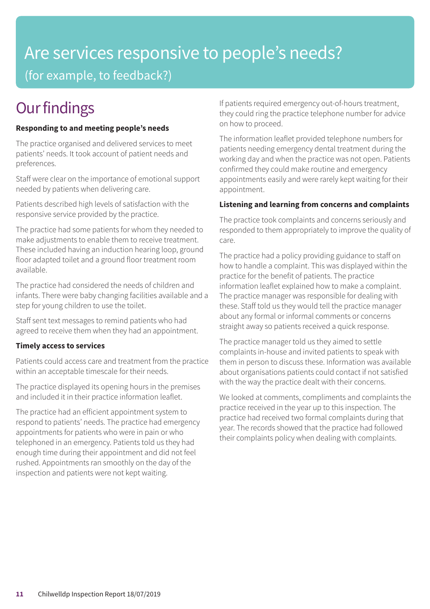### Are services responsive to people's needs? (for example, to feedback?)

### **Our findings**

#### **Responding to and meeting people's needs**

The practice organised and delivered services to meet patients' needs. It took account of patient needs and preferences.

Staff were clear on the importance of emotional support needed by patients when delivering care.

Patients described high levels of satisfaction with the responsive service provided by the practice.

The practice had some patients for whom they needed to make adjustments to enable them to receive treatment. These included having an induction hearing loop, ground floor adapted toilet and a ground floor treatment room available.

The practice had considered the needs of children and infants. There were baby changing facilities available and a step for young children to use the toilet.

Staff sent text messages to remind patients who had agreed to receive them when they had an appointment.

#### **Timely access to services**

Patients could access care and treatment from the practice within an acceptable timescale for their needs.

The practice displayed its opening hours in the premises and included it in their practice information leaflet.

The practice had an efficient appointment system to respond to patients' needs. The practice had emergency appointments for patients who were in pain or who telephoned in an emergency. Patients told us they had enough time during their appointment and did not feel rushed. Appointments ran smoothly on the day of the inspection and patients were not kept waiting.

If patients required emergency out-of-hours treatment, they could ring the practice telephone number for advice on how to proceed.

The information leaflet provided telephone numbers for patients needing emergency dental treatment during the working day and when the practice was not open. Patients confirmed they could make routine and emergency appointments easily and were rarely kept waiting for their appointment.

#### **Listening and learning from concerns and complaints**

The practice took complaints and concerns seriously and responded to them appropriately to improve the quality of care.

The practice had a policy providing guidance to staff on how to handle a complaint. This was displayed within the practice for the benefit of patients. The practice information leaflet explained how to make a complaint. The practice manager was responsible for dealing with these. Staff told us they would tell the practice manager about any formal or informal comments or concerns straight away so patients received a quick response.

The practice manager told us they aimed to settle complaints in-house and invited patients to speak with them in person to discuss these. Information was available about organisations patients could contact if not satisfied with the way the practice dealt with their concerns.

We looked at comments, compliments and complaints the practice received in the year up to this inspection. The practice had received two formal complaints during that year. The records showed that the practice had followed their complaints policy when dealing with complaints.